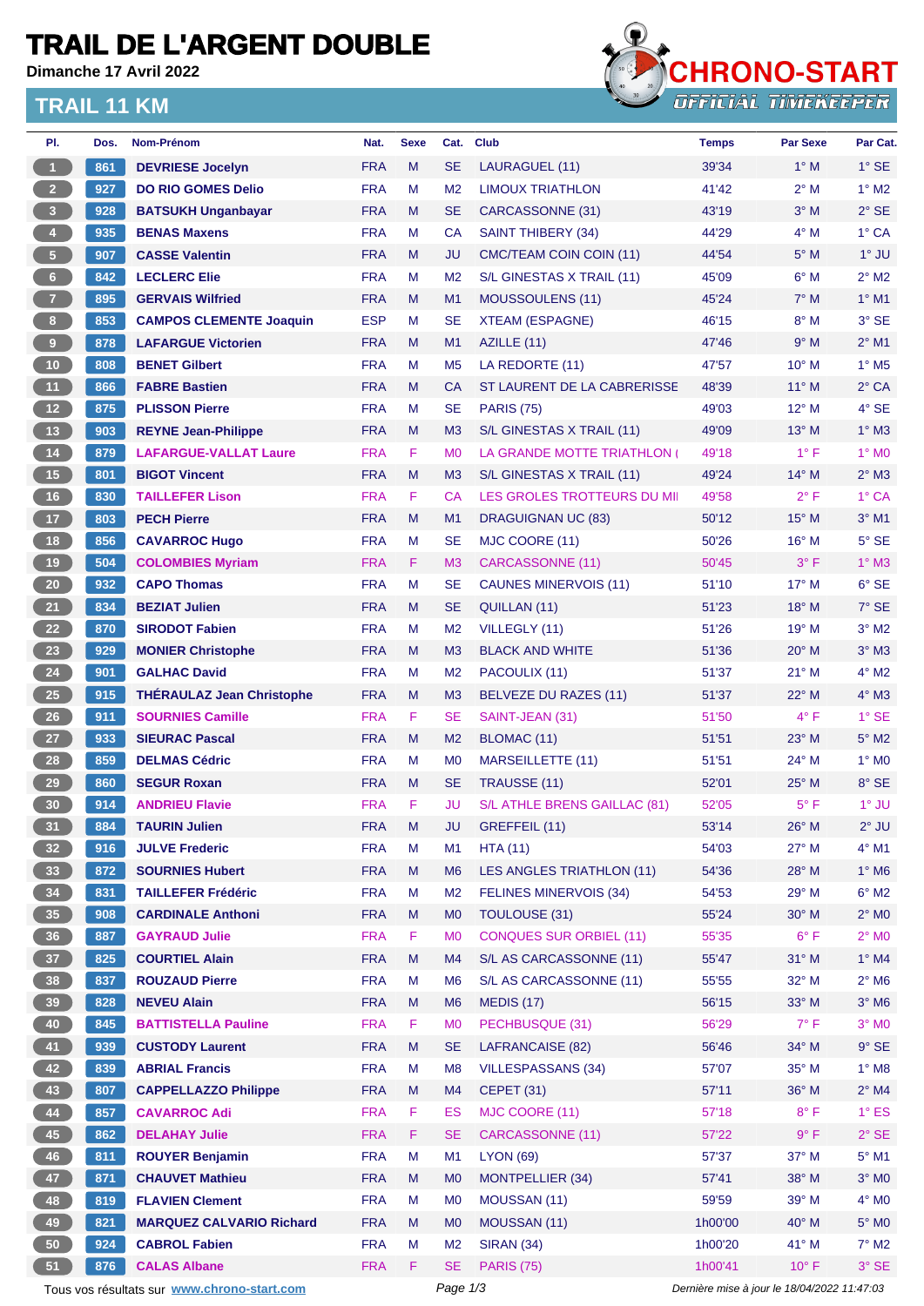## **TRAIL DE L'ARGENT DOUBLE**

**Dimanche 17 Avril 2022**

#### **TRAIL 11 KM**



| PI.                     | Dos.   | Nom-Prénom                                  | Nat.       | <b>Sexe</b> | Cat.           | <b>Club</b>                        | <b>Temps</b>                                | <b>Par Sexe</b> | Par Cat.                 |  |
|-------------------------|--------|---------------------------------------------|------------|-------------|----------------|------------------------------------|---------------------------------------------|-----------------|--------------------------|--|
| $\blacktriangleleft$    | 861    | <b>DEVRIESE Jocelyn</b>                     | <b>FRA</b> | M           | <b>SE</b>      | LAURAGUEL (11)                     | 39'34                                       | $1^\circ$ M     | $1^\circ$ SE             |  |
| 2 <sup>2</sup>          | 927    | <b>DO RIO GOMES Delio</b>                   | <b>FRA</b> | M           | M <sub>2</sub> | <b>LIMOUX TRIATHLON</b>            | 41'42                                       | $2^{\circ}$ M   | $1^\circ$ M2             |  |
| $\overline{\mathbf{3}}$ | 928    | <b>BATSUKH Unganbayar</b>                   | <b>FRA</b> | M           | <b>SE</b>      | CARCASSONNE (31)                   | 43'19                                       | $3°$ M          | $2°$ SE                  |  |
| $\overline{4}$          | 935    | <b>BENAS Maxens</b>                         | <b>FRA</b> | М           | <b>CA</b>      | <b>SAINT THIBERY (34)</b>          | 44'29                                       | $4^\circ$ M     | $1^\circ$ CA             |  |
| $\sqrt{5}$              | 907    | <b>CASSE Valentin</b>                       | <b>FRA</b> | M           | JU             | CMC/TEAM COIN COIN (11)            | 44'54                                       | $5^\circ$ M     | $1^\circ$ JU             |  |
| 6                       | 842    | <b>LECLERC Elie</b>                         | <b>FRA</b> | М           | M <sub>2</sub> | S/L GINESTAS X TRAIL (11)          | 45'09                                       | $6^\circ$ M     | $2^{\circ}$ M2           |  |
| $\overline{7}$          | 895    | <b>GERVAIS Wilfried</b>                     | <b>FRA</b> | M           | M1             | <b>MOUSSOULENS (11)</b>            | 45'24                                       | $7^\circ$ M     | $1°$ M1                  |  |
| 8 <sup>1</sup>          | 853    | <b>CAMPOS CLEMENTE Joaquin</b>              | <b>ESP</b> | M           | <b>SE</b>      | <b>XTEAM (ESPAGNE)</b>             | 46'15                                       | $8^\circ$ M     | $3°$ SE                  |  |
| 9                       | 878    | <b>LAFARGUE Victorien</b>                   | <b>FRA</b> | M           | M1             | AZILLE (11)                        | 47'46                                       | 9° M            | $2^{\circ}$ M1           |  |
| 10                      | 808    | <b>BENET Gilbert</b>                        | <b>FRA</b> | М           | M <sub>5</sub> | LA REDORTE (11)                    | 47'57                                       | $10^{\circ}$ M  | $1^\circ$ M <sub>5</sub> |  |
| 11                      | 866    | <b>FABRE Bastien</b>                        | <b>FRA</b> | M           | <b>CA</b>      | ST LAURENT DE LA CABRERISSE        | 48'39                                       | $11^{\circ}$ M  | $2^{\circ}$ CA           |  |
| 12                      | 875    | <b>PLISSON Pierre</b>                       | <b>FRA</b> | М           | <b>SE</b>      | <b>PARIS (75)</b>                  | 49'03                                       | $12^{\circ}$ M  | $4^\circ$ SE             |  |
| 13                      | 903    | <b>REYNE Jean-Philippe</b>                  | <b>FRA</b> | M           | M <sub>3</sub> | S/L GINESTAS X TRAIL (11)          | 49'09                                       | $13^\circ$ M    | $1^\circ$ M3             |  |
| 14                      | 879    | <b>LAFARGUE-VALLAT Laure</b>                | <b>FRA</b> | F.          | M <sub>0</sub> | LA GRANDE MOTTE TRIATHLON (        | 49'18                                       | $1^{\circ}$ F   | $1^\circ$ MO             |  |
| 15                      | 801    | <b>BIGOT Vincent</b>                        | <b>FRA</b> | M           | M3             | S/L GINESTAS X TRAIL (11)          | 49'24                                       | $14^{\circ}$ M  | $2^{\circ}$ M3           |  |
| 16                      | 830    | <b>TAILLEFER Lison</b>                      | <b>FRA</b> | F.          | CA             | <b>LES GROLES TROTTEURS DU MII</b> | 49'58                                       | $2^{\circ}$ F   | 1° CA                    |  |
| 17                      | 803    | <b>PECH Pierre</b>                          | <b>FRA</b> | M           | M <sub>1</sub> | DRAGUIGNAN UC (83)                 | 50'12                                       | $15^{\circ}$ M  | $3°$ M1                  |  |
| <b>18</b>               | 856    | <b>CAVARROC Hugo</b>                        | <b>FRA</b> | М           | <b>SE</b>      | MJC COORE (11)                     | 50'26                                       | $16^{\circ}$ M  | $5^\circ$ SE             |  |
| 19                      | 504    | <b>COLOMBIES Myriam</b>                     | <b>FRA</b> | F           | M3             | <b>CARCASSONNE (11)</b>            | 50'45                                       | 3° F            | $1^\circ$ M3             |  |
| 20 <sub>2</sub>         | 932    | <b>CAPO Thomas</b>                          | <b>FRA</b> | M           | <b>SE</b>      | <b>CAUNES MINERVOIS (11)</b>       | 51'10                                       | $17^\circ$ M    | $6°$ SE                  |  |
|                         | 834    | <b>BEZIAT Julien</b>                        | <b>FRA</b> | M           | <b>SE</b>      | QUILLAN (11)                       | 51'23                                       | $18^\circ$ M    | $7°$ SE                  |  |
| 21                      |        |                                             | <b>FRA</b> |             |                |                                    |                                             | 19° M           |                          |  |
| 22                      | 870    | <b>SIRODOT Fabien</b>                       |            | М           | M <sub>2</sub> | VILLEGLY (11)                      | 51'26                                       |                 | $3^\circ$ M2             |  |
| 23                      | 929    | <b>MONIER Christophe</b>                    | <b>FRA</b> | M           | M <sub>3</sub> | <b>BLACK AND WHITE</b>             | 51'36                                       | $20^\circ$ M    | $3^\circ$ M3             |  |
| 24                      | 901    | <b>GALHAC David</b>                         | <b>FRA</b> | М           | M <sub>2</sub> | PACOULIX (11)                      | 51'37                                       | $21^{\circ}$ M  | $4^{\circ}$ M2           |  |
| 25                      | 915    | <b>THERAULAZ Jean Christophe</b>            | <b>FRA</b> | M           | M3             | <b>BELVEZE DU RAZES (11)</b>       | 51'37                                       | $22^{\circ}$ M  | $4^\circ$ M3             |  |
| 26                      | 911    | <b>SOURNIES Camille</b>                     | <b>FRA</b> | F.          | <b>SE</b>      | SAINT-JEAN (31)                    | 51'50                                       | $4^{\circ}$ F   | $1^\circ$ SE             |  |
| 27                      | 933    | <b>SIEURAC Pascal</b>                       | <b>FRA</b> | M           | M <sub>2</sub> | BLOMAC (11)                        | 51'51                                       | $23^\circ$ M    | $5^\circ$ M2             |  |
| 28                      | 859    | <b>DELMAS Cédric</b>                        | <b>FRA</b> | М           | M <sub>0</sub> | <b>MARSEILLETTE (11)</b>           | 51'51                                       | 24° M           | $1^\circ$ MO             |  |
| 29                      | 860    | <b>SEGUR Roxan</b>                          | <b>FRA</b> | M           | <b>SE</b>      | TRAUSSE (11)                       | 52'01                                       | $25^{\circ}$ M  | 8° SE                    |  |
| 30 <sup>°</sup>         | 914    | <b>ANDRIEU Flavie</b>                       | <b>FRA</b> | F.          | JU             | S/L ATHLE BRENS GAILLAC (81)       | 52'05                                       | $5^{\circ}$ F   | 1° JU                    |  |
| $\boxed{31}$            | [ 884] | <b>TAURIN Julien</b>                        | <b>FRA</b> | M           |                | JU GREFFEIL (11)                   | 53'14                                       | $26^{\circ}$ M  | $2^{\circ}$ JU           |  |
| 32 <sub>2</sub>         | 916    | <b>JULVE Frederic</b>                       | <b>FRA</b> | M           | M1             | HTA(11)                            | 54'03                                       | $27^\circ$ M    | 4° M1                    |  |
| 33                      | 872    | <b>SOURNIES Hubert</b>                      | <b>FRA</b> | M           | M <sub>6</sub> | LES ANGLES TRIATHLON (11)          | 54'36                                       | 28° M           | $1^\circ$ M6             |  |
| 34                      | 831    | <b>TAILLEFER Frédéric</b>                   | <b>FRA</b> | M           | M <sub>2</sub> | <b>FELINES MINERVOIS (34)</b>      | 54'53                                       | 29° M           | $6^{\circ}$ M2           |  |
| 35                      | 908    | <b>CARDINALE Anthoni</b>                    | <b>FRA</b> | M           | M <sub>0</sub> | TOULOUSE (31)                      | 55'24                                       | 30° M           | $2^{\circ}$ MO           |  |
| 36                      | 887    | <b>GAYRAUD Julie</b>                        | <b>FRA</b> | F.          | M <sub>0</sub> | <b>CONQUES SUR ORBIEL (11)</b>     | 55'35                                       | $6^{\circ}$ F   | $2^\circ$ MO             |  |
| 37                      | 825    | <b>COURTIEL Alain</b>                       | <b>FRA</b> | M           | M4             | S/L AS CARCASSONNE (11)            | 55'47                                       | $31°$ M         | $1^\circ$ M4             |  |
| 38                      | 837    | <b>ROUZAUD Pierre</b>                       | <b>FRA</b> | М           | M <sub>6</sub> | S/L AS CARCASSONNE (11)            | 55'55                                       | $32^\circ$ M    | $2^{\circ}$ M6           |  |
| 39                      | 828    | <b>NEVEU Alain</b>                          | <b>FRA</b> | M           | M <sub>6</sub> | <b>MEDIS (17)</b>                  | 56'15                                       | $33^\circ$ M    | $3^\circ$ M6             |  |
| 40                      | 845    | <b>BATTISTELLA Pauline</b>                  | <b>FRA</b> | F.          | M <sub>0</sub> | PECHBUSQUE (31)                    | 56'29                                       | $7^\circ$ F     | $3°$ MO                  |  |
| 41                      | 939    | <b>CUSTODY Laurent</b>                      | <b>FRA</b> | M           | <b>SE</b>      | LAFRANCAISE (82)                   | 56'46                                       | 34° M           | $9°$ SE                  |  |
| 42                      | 839    | <b>ABRIAL Francis</b>                       | <b>FRA</b> | M           | M <sub>8</sub> | VILLESPASSANS (34)                 | 57'07                                       | $35^\circ$ M    | $1^\circ$ M8             |  |
| 43                      | 807    | <b>CAPPELLAZZO Philippe</b>                 | <b>FRA</b> | M           | M4             | <b>CEPET (31)</b>                  | 57'11                                       | 36° M           | $2^{\circ}$ M4           |  |
| 44                      | 857    | <b>CAVARROC Adi</b>                         | <b>FRA</b> | F.          | <b>ES</b>      | MJC COORE (11)                     | 57'18                                       | $8^{\circ}$ F   | $1^\circ$ ES             |  |
| 45                      | 862    | <b>DELAHAY Julie</b>                        | <b>FRA</b> | F.          | <b>SE</b>      | <b>CARCASSONNE (11)</b>            | 57'22                                       | 9° F            | $2°$ SE                  |  |
| 46                      | 811    | <b>ROUYER Benjamin</b>                      | <b>FRA</b> | M           | M1             | <b>LYON (69)</b>                   | 57'37                                       | 37° M           | $5^\circ$ M1             |  |
| 47                      | 871    | <b>CHAUVET Mathieu</b>                      | <b>FRA</b> | M           | M <sub>0</sub> | <b>MONTPELLIER (34)</b>            | 57'41                                       | 38° M           | $3^\circ$ MO             |  |
| 48                      | 819    | <b>FLAVIEN Clement</b>                      | <b>FRA</b> | M           | M <sub>0</sub> | MOUSSAN (11)                       | 59'59                                       | 39° M           | $4^\circ$ MO             |  |
| 49                      | 821    | <b>MARQUEZ CALVARIO Richard</b>             | <b>FRA</b> | M           | M <sub>0</sub> | MOUSSAN (11)                       | 1h00'00                                     | 40° M           | $5^\circ$ MO             |  |
| 50                      | 924    | <b>CABROL Fabien</b>                        | <b>FRA</b> | M           | M <sub>2</sub> | <b>SIRAN (34)</b>                  | 1h00'20                                     | 41° M           | $7^\circ$ M2             |  |
| 51                      | 876    | <b>CALAS Albane</b>                         | <b>FRA</b> | F.          | <b>SE</b>      | <b>PARIS (75)</b>                  | 1h00'41                                     | $10^{\circ}$ F  | $3°$ SE                  |  |
|                         |        | Tous vos résultats sur www.chrono-start.com |            |             | Page 1/3       |                                    | Dernière mise à jour le 18/04/2022 11:47:03 |                 |                          |  |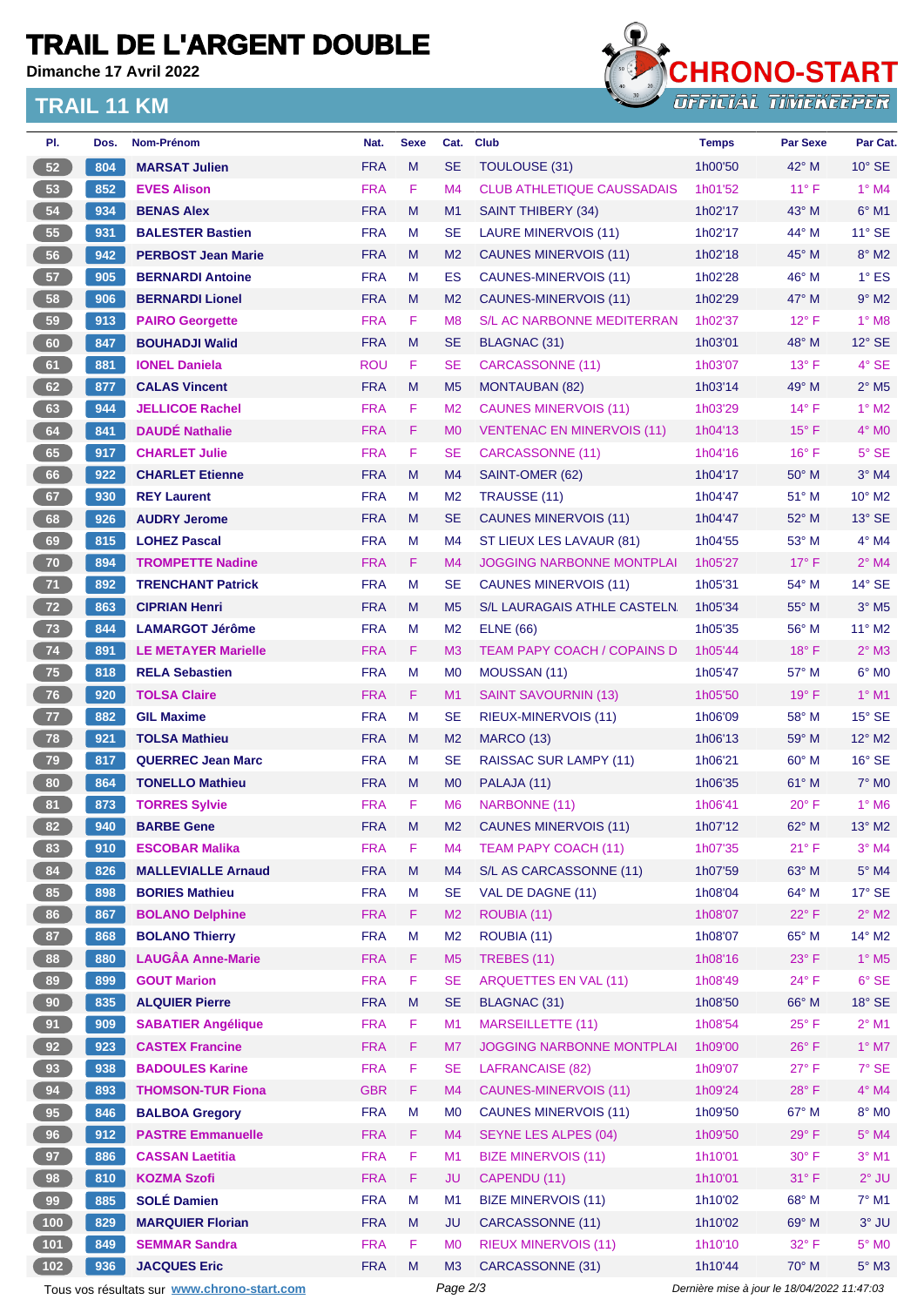## **TRAIL DE L'ARGENT DOUBLE**

**Dimanche 17 Avril 2022**

#### **TRAIL 11 KM**



| PI.             | Dos. | Nom-Prénom                                  | Nat.       | <b>Sexe</b> | Cat.           | <b>Club</b>                        | <b>Temps</b>                                | <b>Par Sexe</b> | Par Cat.                   |
|-----------------|------|---------------------------------------------|------------|-------------|----------------|------------------------------------|---------------------------------------------|-----------------|----------------------------|
| 52              | 804  | <b>MARSAT Julien</b>                        | <b>FRA</b> | M           | <b>SE</b>      | TOULOUSE (31)                      | 1h00'50                                     | $42^{\circ}$ M  | $10^{\circ}$ SE            |
| 53              | 852  | <b>EVES Alison</b>                          | <b>FRA</b> | F.          | M4             | <b>CLUB ATHLETIQUE CAUSSADAIS</b>  | 1h01'52                                     | $11^{\circ}$ F  | $1^\circ$ M4               |
| 54              | 934  | <b>BENAS Alex</b>                           | <b>FRA</b> | M           | M <sub>1</sub> | SAINT THIBERY (34)                 | 1h02'17                                     | $43^\circ$ M    | $6^\circ$ M1               |
| 55              | 931  | <b>BALESTER Bastien</b>                     | <b>FRA</b> | М           | <b>SE</b>      | <b>LAURE MINERVOIS (11)</b>        | 1h02'17                                     | 44° M           | $11^{\circ}$ SE            |
| 56              | 942  | <b>PERBOST Jean Marie</b>                   | <b>FRA</b> | M           | M <sub>2</sub> | <b>CAUNES MINERVOIS (11)</b>       | 1h02'18                                     | 45° M           | $8^\circ$ M2               |
| 57              | 905  | <b>BERNARDI Antoine</b>                     | <b>FRA</b> | М           | ES             | CAUNES-MINERVOIS (11)              | 1h02'28                                     | $46^{\circ}$ M  | $1^\circ$ ES               |
| 58              | 906  | <b>BERNARDI Lionel</b>                      | <b>FRA</b> | M           | M <sub>2</sub> | CAUNES-MINERVOIS (11)              | 1h02'29                                     | 47° M           | $9°$ M2                    |
| 59              | 913  | <b>PAIRO Georgette</b>                      | <b>FRA</b> | F           | M <sub>8</sub> | <b>S/L AC NARBONNE MEDITERRAN</b>  | 1h02'37                                     | $12^{\circ}$ F  | $1^\circ$ M8               |
| 60              | 847  | <b>BOUHADJI Walid</b>                       | <b>FRA</b> | M           | <b>SE</b>      | <b>BLAGNAC (31)</b>                | 1h03'01                                     | 48° M           | $12^\circ$ SE              |
| 61              | 881  | <b>IONEL Daniela</b>                        | <b>ROU</b> | F           | <b>SE</b>      | <b>CARCASSONNE (11)</b>            | 1h03'07                                     | $13^{\circ}$ F  | 4° SE                      |
| 62              | 877  | <b>CALAS Vincent</b>                        | <b>FRA</b> | M           | M <sub>5</sub> | <b>MONTAUBAN (82)</b>              | 1h03'14                                     | $49^{\circ}$ M  | $2^{\circ}$ M <sub>5</sub> |
| 63              | 944  | <b>JELLICOE Rachel</b>                      | <b>FRA</b> | F.          | M <sub>2</sub> | <b>CAUNES MINERVOIS (11)</b>       | 1h03'29                                     | $14^{\circ}$ F  | $1^\circ$ M2               |
| 64              | 841  | <b>DAUDÉ Nathalie</b>                       | <b>FRA</b> | F           | M <sub>0</sub> | <b>VENTENAC EN MINERVOIS (11)</b>  | 1h04'13                                     | $15^{\circ}$ F  | $4^\circ$ MO               |
| 65              | 917  | <b>CHARLET Julie</b>                        | <b>FRA</b> | F           | <b>SE</b>      | CARCASSONNE (11)                   | 1h04'16                                     | $16^{\circ}$ F  | $5^\circ$ SE               |
| 66              | 922  | <b>CHARLET Etienne</b>                      | <b>FRA</b> | M           | M4             | SAINT-OMER (62)                    | 1h04'17                                     | $50^\circ$ M    | $3°$ M4                    |
| 67              | 930  | <b>REY Laurent</b>                          | <b>FRA</b> | M           | M <sub>2</sub> | TRAUSSE (11)                       | 1h04'47                                     | 51° M           | 10° M2                     |
| 68              | 926  | <b>AUDRY Jerome</b>                         | <b>FRA</b> | M           | <b>SE</b>      | <b>CAUNES MINERVOIS (11)</b>       | 1h04'47                                     | $52^{\circ}$ M  | $13^\circ$ SE              |
| 69              | 815  | <b>LOHEZ Pascal</b>                         | <b>FRA</b> | М           | M4             | ST LIEUX LES LAVAUR (81)           | 1h04'55                                     | 53° M           | $4^\circ$ M4               |
| 70              | 894  | <b>TROMPETTE Nadine</b>                     | <b>FRA</b> | F.          | M <sub>4</sub> | <b>JOGGING NARBONNE MONTPLAI</b>   | 1h05'27                                     | $17^{\circ}$ F  | $2^{\circ}$ M4             |
| 71              | 892  | <b>TRENCHANT Patrick</b>                    | <b>FRA</b> | М           | <b>SE</b>      | <b>CAUNES MINERVOIS (11)</b>       | 1h05'31                                     | 54° M           | $14^{\circ}$ SE            |
| 72              | 863  | <b>CIPRIAN Henri</b>                        | <b>FRA</b> | M           | M <sub>5</sub> | S/L LAURAGAIS ATHLE CASTELN        | 1h05'34                                     | $55^{\circ}$ M  | $3°$ M <sub>5</sub>        |
| 73              | 844  | <b>LAMARGOT Jérôme</b>                      | <b>FRA</b> | M           | M <sub>2</sub> | <b>ELNE (66)</b>                   | 1h05'35                                     | 56° M           | 11° M2                     |
| 74              | 891  | <b>LE METAYER Marielle</b>                  | <b>FRA</b> | F.          | M <sub>3</sub> | <b>TEAM PAPY COACH / COPAINS D</b> | 1h05'44                                     | $18^{\circ}$ F  | $2°$ M3                    |
| 75              | 818  | <b>RELA Sebastien</b>                       | <b>FRA</b> | M           | M <sub>0</sub> | MOUSSAN (11)                       | 1h05'47                                     | 57° M           | $6°$ MO                    |
| 76              | 920  | <b>TOLSA Claire</b>                         | <b>FRA</b> | F.          | M <sub>1</sub> | SAINT SAVOURNIN (13)               | 1h05'50                                     | 19° F           | $1^\circ$ M1               |
| $77$            | 882  | <b>GIL Maxime</b>                           | <b>FRA</b> | М           | <b>SE</b>      | RIEUX-MINERVOIS (11)               | 1h06'09                                     | $58^{\circ}$ M  | $15^\circ$ SE              |
| 78              | 921  | <b>TOLSA Mathieu</b>                        | <b>FRA</b> | M           | M <sub>2</sub> | <b>MARCO (13)</b>                  | 1h06'13                                     | 59° M           | 12° M2                     |
| 79              | 817  | <b>QUERREC Jean Marc</b>                    | <b>FRA</b> | М           | <b>SE</b>      | RAISSAC SUR LAMPY (11)             | 1h06'21                                     | $60^\circ$ M    | $16^\circ$ SE              |
| 80              | 864  | <b>TONELLO Mathieu</b>                      | <b>FRA</b> | M           | M <sub>0</sub> | PALAJA (11)                        | 1h06'35                                     | 61° M           | $7°$ MO                    |
| 81              | 873  | <b>TORRES Sylvie</b>                        | <b>FRA</b> | F           | M <sub>6</sub> | NARBONNE (11)                      | 1h06'41                                     | $20^{\circ}$ F  | $1^\circ$ M <sub>6</sub>   |
| 82              | 940  | <b>BARBE Gene</b>                           | <b>FRA</b> | M           | M <sub>2</sub> | <b>CAUNES MINERVOIS (11)</b>       | 1h07'12                                     | $62^\circ$ M    | $13^\circ$ M2              |
| 83              | 910  | <b>ESCOBAR Malika</b>                       | <b>FRA</b> | F           | M4             | <b>TEAM PAPY COACH (11)</b>        | 1h07'35                                     | $21^{\circ}$ F  | $3°$ M4                    |
| 84              | 826  | <b>MALLEVIALLE Arnaud</b>                   | <b>FRA</b> | M           | M4             | S/L AS CARCASSONNE (11)            | 1h07'59                                     | 63° M           | $5^\circ$ M4               |
| 85              | 898  | <b>BORIES Mathieu</b>                       | <b>FRA</b> | М           | <b>SE</b>      | VAL DE DAGNE (11)                  | 1h08'04                                     | 64° M           | $17^\circ$ SE              |
| 86              | 867  | <b>BOLANO Delphine</b>                      | <b>FRA</b> | F           | M <sub>2</sub> | ROUBIA (11)                        | 1h08'07                                     | $22^{\circ}$ F  | $2^{\circ}$ M2             |
| 87              | 868  | <b>BOLANO Thierry</b>                       | <b>FRA</b> | M           | M <sub>2</sub> | ROUBIA (11)                        | 1h08'07                                     | 65° M           | 14° M2                     |
| 88              | 880  | <b>LAUGÂA Anne-Marie</b>                    | <b>FRA</b> | F           | M <sub>5</sub> | TREBES (11)                        | 1h08'16                                     | $23^{\circ}$ F  | $1^\circ$ M <sub>5</sub>   |
| 89              | 899  | <b>GOUT Marion</b>                          | <b>FRA</b> | F           | <b>SE</b>      | <b>ARQUETTES EN VAL (11)</b>       | 1h08'49                                     | $24^{\circ}$ F  | $6°$ SE                    |
| 90 <sub>o</sub> | 835  | <b>ALQUIER Pierre</b>                       | <b>FRA</b> | M           | <b>SE</b>      | BLAGNAC (31)                       | 1h08'50                                     | 66° M           | $18^\circ$ SE              |
| 91              | 909  | <b>SABATIER Angélique</b>                   | <b>FRA</b> | F           | M1             | <b>MARSEILLETTE (11)</b>           | 1h08'54                                     | $25^{\circ}$ F  | $2^{\circ}$ M1             |
| 92              | 923  | <b>CASTEX Francine</b>                      | <b>FRA</b> | F.          | M7             | <b>JOGGING NARBONNE MONTPLAI</b>   | 1h09'00                                     | $26^{\circ}$ F  | $1^\circ$ M7               |
| 93              | 938  | <b>BADOULES Karine</b>                      | <b>FRA</b> | F           | <b>SE</b>      | <b>LAFRANCAISE (82)</b>            | 1h09'07                                     | $27^{\circ}$ F  | $7°$ SE                    |
| 94              | 893  | <b>THOMSON-TUR Fiona</b>                    | <b>GBR</b> | F           | M4             | <b>CAUNES-MINERVOIS (11)</b>       | 1h09'24                                     | $28^{\circ}$ F  | $4^{\circ}$ M4             |
| 95              | 846  | <b>BALBOA Gregory</b>                       | <b>FRA</b> | M           | M <sub>0</sub> | <b>CAUNES MINERVOIS (11)</b>       | 1h09'50                                     | 67° M           | 8° MO                      |
| 96              | 912  | <b>PASTRE Emmanuelle</b>                    | <b>FRA</b> | F.          | M4             | <b>SEYNE LES ALPES (04)</b>        | 1h09'50                                     | $29^\circ$ F    | $5^\circ$ M4               |
| 97              | 886  | <b>CASSAN Laetitia</b>                      | <b>FRA</b> | F           | M1             | <b>BIZE MINERVOIS (11)</b>         | 1h10'01                                     | $30^\circ$ F    | $3°$ M1                    |
| 98              | 810  | <b>KOZMA Szofi</b>                          | <b>FRA</b> | F           | <b>JU</b>      | CAPENDU (11)                       | 1h10'01                                     | 31° F           | $2^{\circ}$ JU             |
| 99              | 885  | <b>SOLÉ Damien</b>                          | <b>FRA</b> | M           | M1             | <b>BIZE MINERVOIS (11)</b>         | 1h10'02                                     | 68° M           | $7°$ M1                    |
| (100)           | 829  | <b>MARQUIER Florian</b>                     | <b>FRA</b> | ${\sf M}$   | <b>JU</b>      | CARCASSONNE (11)                   | 1h10'02                                     | 69° M           | $3°$ JU                    |
| $101$           | 849  | <b>SEMMAR Sandra</b>                        | <b>FRA</b> | F           | M <sub>0</sub> | <b>RIEUX MINERVOIS (11)</b>        | 1h10'10                                     | 32° F           | $5^\circ$ MO               |
| $102$           | 936  | <b>JACQUES Eric</b>                         | <b>FRA</b> | M           | M3             | CARCASSONNE (31)                   | 1h10'44                                     | 70° M           | $5^\circ$ M3               |
|                 |      | Tous vos résultats sur www.chrono-start.com |            |             | Page 2/3       |                                    | Dernière mise à jour le 18/04/2022 11:47:03 |                 |                            |